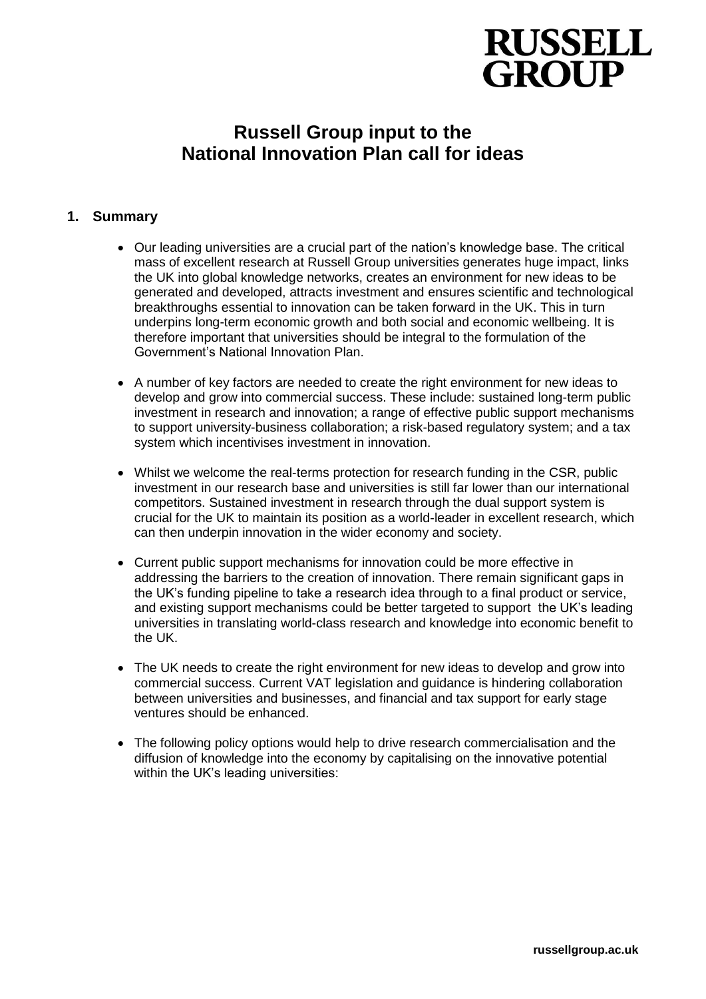# **RUSSELL GROUP**

# **Russell Group input to the National Innovation Plan call for ideas**

# **1. Summary**

- Our leading universities are a crucial part of the nation's knowledge base. The critical mass of excellent research at Russell Group universities generates huge impact, links the UK into global knowledge networks, creates an environment for new ideas to be generated and developed, attracts investment and ensures scientific and technological breakthroughs essential to innovation can be taken forward in the UK. This in turn underpins long-term economic growth and both social and economic wellbeing. It is therefore important that universities should be integral to the formulation of the Government's National Innovation Plan.
- A number of key factors are needed to create the right environment for new ideas to develop and grow into commercial success. These include: sustained long-term public investment in research and innovation; a range of effective public support mechanisms to support university-business collaboration; a risk-based regulatory system; and a tax system which incentivises investment in innovation.
- Whilst we welcome the real-terms protection for research funding in the CSR, public investment in our research base and universities is still far lower than our international competitors. Sustained investment in research through the dual support system is crucial for the UK to maintain its position as a world-leader in excellent research, which can then underpin innovation in the wider economy and society.
- Current public support mechanisms for innovation could be more effective in addressing the barriers to the creation of innovation. There remain significant gaps in the UK's funding pipeline to take a research idea through to a final product or service, and existing support mechanisms could be better targeted to support the UK's leading universities in translating world-class research and knowledge into economic benefit to the UK.
- The UK needs to create the right environment for new ideas to develop and grow into commercial success. Current VAT legislation and guidance is hindering collaboration between universities and businesses, and financial and tax support for early stage ventures should be enhanced.
- The following policy options would help to drive research commercialisation and the diffusion of knowledge into the economy by capitalising on the innovative potential within the UK's leading universities: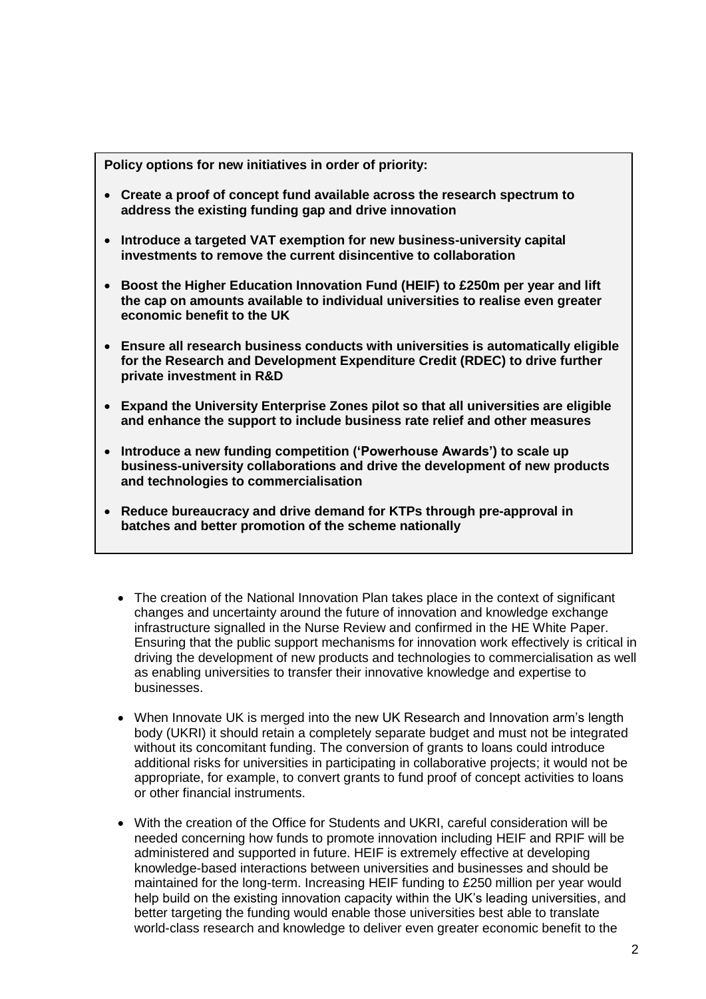**Policy options for new initiatives in order of priority:**

- **Create a proof of concept fund available across the research spectrum to address the existing funding gap and drive innovation**
- **Introduce a targeted VAT exemption for new business-university capital investments to remove the current disincentive to collaboration**
- **Boost the Higher Education Innovation Fund (HEIF) to £250m per year and lift the cap on amounts available to individual universities to realise even greater economic benefit to the UK**
- **Ensure all research business conducts with universities is automatically eligible for the Research and Development Expenditure Credit (RDEC) to drive further private investment in R&D**
- **Expand the University Enterprise Zones pilot so that all universities are eligible and enhance the support to include business rate relief and other measures**
- **Introduce a new funding competition ('Powerhouse Awards') to scale up business-university collaborations and drive the development of new products and technologies to commercialisation**
- **Reduce bureaucracy and drive demand for KTPs through pre-approval in batches and better promotion of the scheme nationally**
	- The creation of the National Innovation Plan takes place in the context of significant changes and uncertainty around the future of innovation and knowledge exchange infrastructure signalled in the Nurse Review and confirmed in the HE White Paper. Ensuring that the public support mechanisms for innovation work effectively is critical in driving the development of new products and technologies to commercialisation as well as enabling universities to transfer their innovative knowledge and expertise to businesses.
	- When Innovate UK is merged into the new UK Research and Innovation arm's length body (UKRI) it should retain a completely separate budget and must not be integrated without its concomitant funding. The conversion of grants to loans could introduce additional risks for universities in participating in collaborative projects; it would not be appropriate, for example, to convert grants to fund proof of concept activities to loans or other financial instruments.
	- With the creation of the Office for Students and UKRI, careful consideration will be needed concerning how funds to promote innovation including HEIF and RPIF will be administered and supported in future. HEIF is extremely effective at developing knowledge-based interactions between universities and businesses and should be maintained for the long-term. Increasing HEIF funding to £250 million per year would help build on the existing innovation capacity within the UK's leading universities, and better targeting the funding would enable those universities best able to translate world-class research and knowledge to deliver even greater economic benefit to the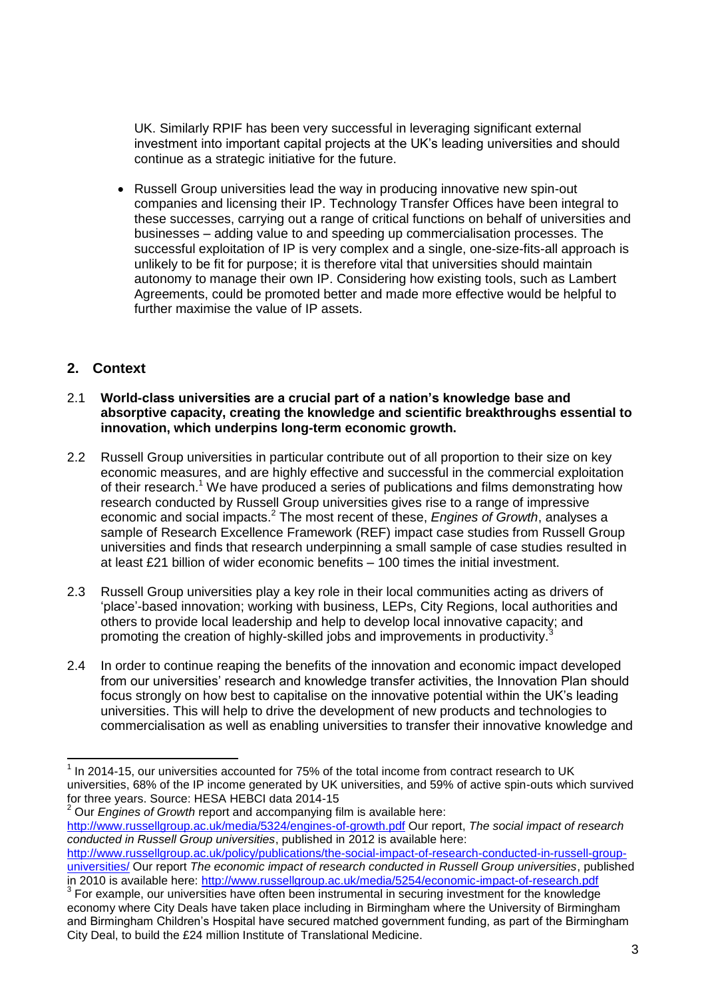UK. Similarly RPIF has been very successful in leveraging significant external investment into important capital projects at the UK's leading universities and should continue as a strategic initiative for the future.

• Russell Group universities lead the way in producing innovative new spin-out companies and licensing their IP. Technology Transfer Offices have been integral to these successes, carrying out a range of critical functions on behalf of universities and businesses – adding value to and speeding up commercialisation processes. The successful exploitation of IP is very complex and a single, one-size-fits-all approach is unlikely to be fit for purpose; it is therefore vital that universities should maintain autonomy to manage their own IP. Considering how existing tools, such as Lambert Agreements, could be promoted better and made more effective would be helpful to further maximise the value of IP assets.

# **2. Context**

-

#### 2.1 **World-class universities are a crucial part of a nation's knowledge base and absorptive capacity, creating the knowledge and scientific breakthroughs essential to innovation, which underpins long-term economic growth.**

- 2.2 Russell Group universities in particular contribute out of all proportion to their size on key economic measures, and are highly effective and successful in the commercial exploitation of their research.<sup>1</sup> We have produced a series of publications and films demonstrating how research conducted by Russell Group universities gives rise to a range of impressive economic and social impacts.<sup>2</sup> The most recent of these, *Engines of Growth*, analyses a sample of Research Excellence Framework (REF) impact case studies from Russell Group universities and finds that research underpinning a small sample of case studies resulted in at least £21 billion of wider economic benefits – 100 times the initial investment.
- 2.3 Russell Group universities play a key role in their local communities acting as drivers of 'place'-based innovation; working with business, LEPs, City Regions, local authorities and others to provide local leadership and help to develop local innovative capacity; and promoting the creation of highly-skilled jobs and improvements in productivity.<sup>3</sup>
- 2.4 In order to continue reaping the benefits of the innovation and economic impact developed from our universities' research and knowledge transfer activities, the Innovation Plan should focus strongly on how best to capitalise on the innovative potential within the UK's leading universities. This will help to drive the development of new products and technologies to commercialisation as well as enabling universities to transfer their innovative knowledge and

<sup>1</sup> In 2014-15, our universities accounted for 75% of the total income from contract research to UK universities, 68% of the IP income generated by UK universities, and 59% of active spin-outs which survived for three years. Source: HESA HEBCI data 2014-15

<sup>2</sup> Our *Engines of Growth* report and accompanying film is available here: <http://www.russellgroup.ac.uk/media/5324/engines-of-growth.pdf> Our report, *The social impact of research conducted in Russell Group universities*, published in 2012 is available here:

[http://www.russellgroup.ac.uk/policy/publications/the-social-impact-of-research-conducted-in-russell-group](http://www.russellgroup.ac.uk/policy/publications/the-social-impact-of-research-conducted-in-russell-group-universities/)[universities/](http://www.russellgroup.ac.uk/policy/publications/the-social-impact-of-research-conducted-in-russell-group-universities/) Our report *The economic impact of research conducted in Russell Group universities*, published in 2010 is available here:<http://www.russellgroup.ac.uk/media/5254/economic-impact-of-research.pdf>

<sup>&</sup>lt;sup>3</sup> For example, our universities have often been instrumental in securing investment for the knowledge economy where City Deals have taken place including in Birmingham where the University of Birmingham and Birmingham Children's Hospital have secured matched government funding, as part of the Birmingham City Deal, to build the £24 million Institute of Translational Medicine.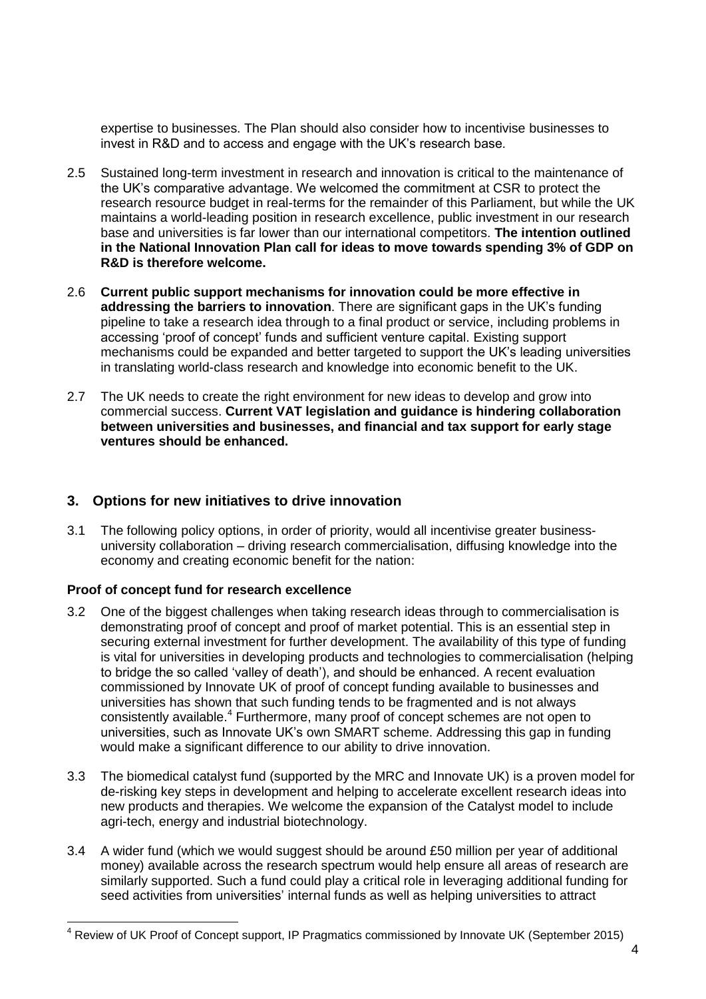expertise to businesses. The Plan should also consider how to incentivise businesses to invest in R&D and to access and engage with the UK's research base.

- 2.5 Sustained long-term investment in research and innovation is critical to the maintenance of the UK's comparative advantage. We welcomed the commitment at CSR to protect the research resource budget in real-terms for the remainder of this Parliament, but while the UK maintains a world-leading position in research excellence, public investment in our research base and universities is far lower than our international competitors. **The intention outlined in the National Innovation Plan call for ideas to move towards spending 3% of GDP on R&D is therefore welcome.**
- 2.6 **Current public support mechanisms for innovation could be more effective in addressing the barriers to innovation**. There are significant gaps in the UK's funding pipeline to take a research idea through to a final product or service, including problems in accessing 'proof of concept' funds and sufficient venture capital. Existing support mechanisms could be expanded and better targeted to support the UK's leading universities in translating world-class research and knowledge into economic benefit to the UK.
- 2.7 The UK needs to create the right environment for new ideas to develop and grow into commercial success. **Current VAT legislation and guidance is hindering collaboration between universities and businesses, and financial and tax support for early stage ventures should be enhanced.**

# **3. Options for new initiatives to drive innovation**

3.1 The following policy options, in order of priority, would all incentivise greater businessuniversity collaboration – driving research commercialisation, diffusing knowledge into the economy and creating economic benefit for the nation:

#### **Proof of concept fund for research excellence**

 $\overline{a}$ 

- 3.2 One of the biggest challenges when taking research ideas through to commercialisation is demonstrating proof of concept and proof of market potential. This is an essential step in securing external investment for further development. The availability of this type of funding is vital for universities in developing products and technologies to commercialisation (helping to bridge the so called 'valley of death'), and should be enhanced. A recent evaluation commissioned by Innovate UK of proof of concept funding available to businesses and universities has shown that such funding tends to be fragmented and is not always consistently available.<sup>4</sup> Furthermore, many proof of concept schemes are not open to universities, such as Innovate UK's own SMART scheme. Addressing this gap in funding would make a significant difference to our ability to drive innovation.
- 3.3 The biomedical catalyst fund (supported by the MRC and Innovate UK) is a proven model for de-risking key steps in development and helping to accelerate excellent research ideas into new products and therapies. We welcome the expansion of the Catalyst model to include agri-tech, energy and industrial biotechnology.
- 3.4 A wider fund (which we would suggest should be around £50 million per year of additional money) available across the research spectrum would help ensure all areas of research are similarly supported. Such a fund could play a critical role in leveraging additional funding for seed activities from universities' internal funds as well as helping universities to attract

 $4$  Review of UK Proof of Concept support, IP Pragmatics commissioned by Innovate UK (September 2015)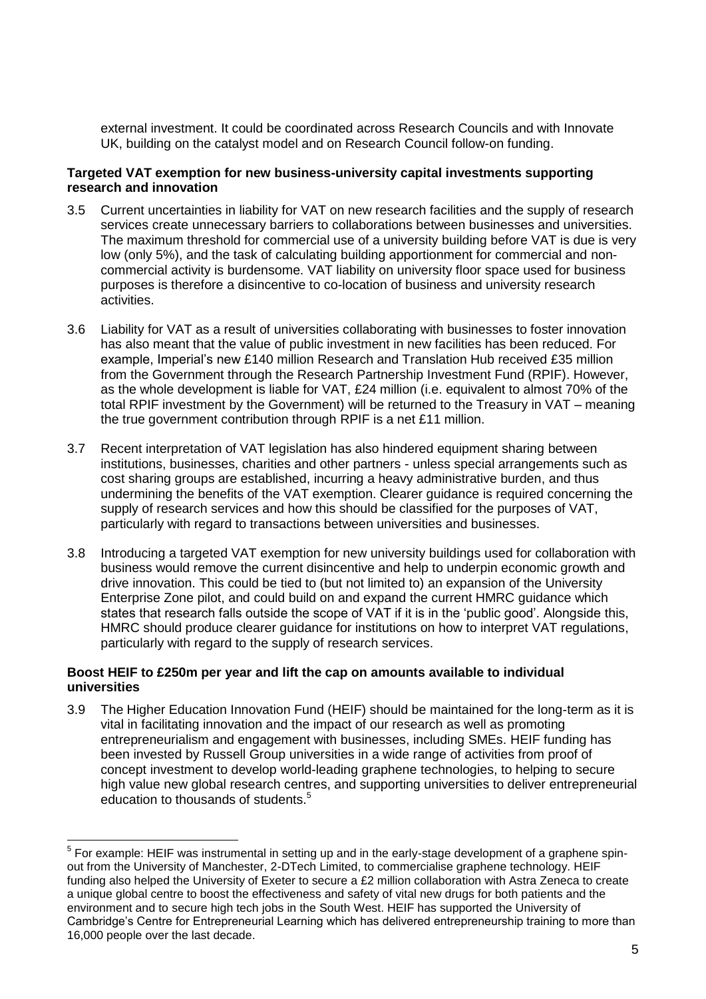external investment. It could be coordinated across Research Councils and with Innovate UK, building on the catalyst model and on Research Council follow-on funding.

#### **Targeted VAT exemption for new business-university capital investments supporting research and innovation**

- 3.5 Current uncertainties in liability for VAT on new research facilities and the supply of research services create unnecessary barriers to collaborations between businesses and universities. The maximum threshold for commercial use of a university building before VAT is due is very low (only 5%), and the task of calculating building apportionment for commercial and noncommercial activity is burdensome. VAT liability on university floor space used for business purposes is therefore a disincentive to co-location of business and university research activities.
- 3.6 Liability for VAT as a result of universities collaborating with businesses to foster innovation has also meant that the value of public investment in new facilities has been reduced. For example, Imperial's new £140 million Research and Translation Hub received £35 million from the Government through the Research Partnership Investment Fund (RPIF). However, as the whole development is liable for VAT, £24 million (i.e. equivalent to almost 70% of the total RPIF investment by the Government) will be returned to the Treasury in VAT – meaning the true government contribution through RPIF is a net £11 million.
- 3.7 Recent interpretation of VAT legislation has also hindered equipment sharing between institutions, businesses, charities and other partners - unless special arrangements such as cost sharing groups are established, incurring a heavy administrative burden, and thus undermining the benefits of the VAT exemption. Clearer guidance is required concerning the supply of research services and how this should be classified for the purposes of VAT, particularly with regard to transactions between universities and businesses.
- 3.8 Introducing a targeted VAT exemption for new university buildings used for collaboration with business would remove the current disincentive and help to underpin economic growth and drive innovation. This could be tied to (but not limited to) an expansion of the University Enterprise Zone pilot, and could build on and expand the current HMRC guidance which states that research falls outside the scope of VAT if it is in the 'public good'. Alongside this, HMRC should produce clearer guidance for institutions on how to interpret VAT regulations, particularly with regard to the supply of research services.

#### **Boost HEIF to £250m per year and lift the cap on amounts available to individual universities**

3.9 The Higher Education Innovation Fund (HEIF) should be maintained for the long-term as it is vital in facilitating innovation and the impact of our research as well as promoting entrepreneurialism and engagement with businesses, including SMEs. HEIF funding has been invested by Russell Group universities in a wide range of activities from proof of concept investment to develop world-leading graphene technologies, to helping to secure high value new global research centres, and supporting universities to deliver entrepreneurial education to thousands of students.<sup>5</sup>

\_\_\_\_\_\_\_\_\_\_\_\_\_\_\_\_\_\_\_\_\_\_\_\_\_\_\_\_\_\_\_\_\_\_<br><sup>5</sup> For example: HEIF was instrumental in setting up and in the early-stage development of a graphene spinout from the University of Manchester, 2-DTech Limited, to commercialise graphene technology. HEIF funding also helped the University of Exeter to secure a £2 million collaboration with Astra Zeneca to create a unique global centre to boost the effectiveness and safety of vital new drugs for both patients and the environment and to secure high tech jobs in the South West. HEIF has supported the University of Cambridge's Centre for Entrepreneurial Learning which has delivered entrepreneurship training to more than 16,000 people over the last decade.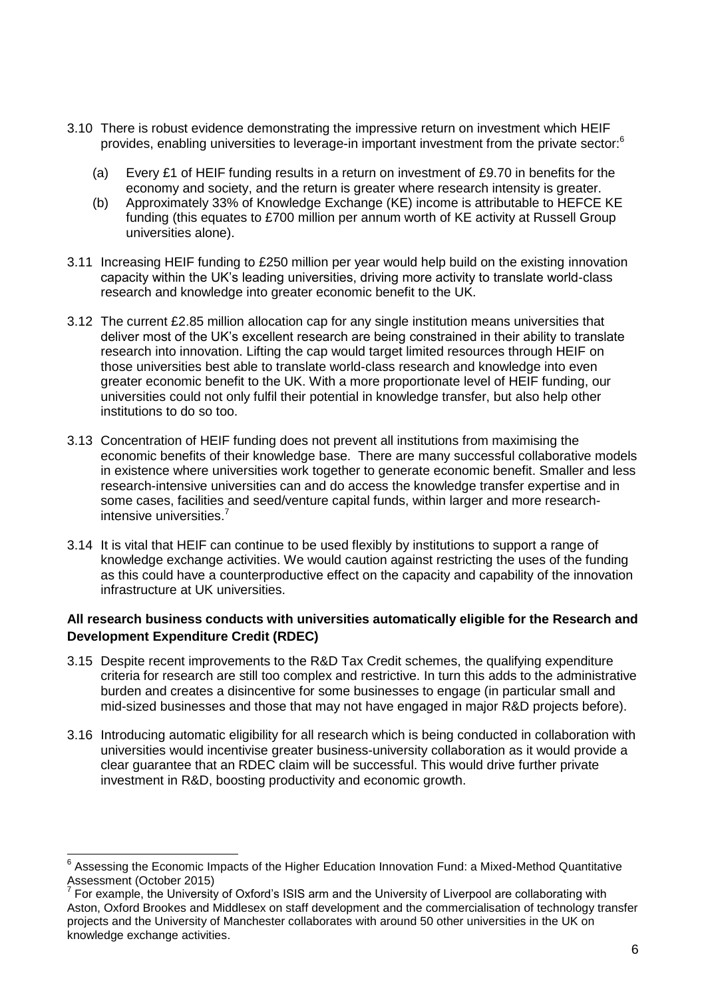- 3.10 There is robust evidence demonstrating the impressive return on investment which HEIF provides, enabling universities to leverage-in important investment from the private sector:<sup>6</sup>
	- (a) Every £1 of HEIF funding results in a return on investment of £9.70 in benefits for the economy and society, and the return is greater where research intensity is greater.
	- (b) Approximately 33% of Knowledge Exchange (KE) income is attributable to HEFCE KE funding (this equates to £700 million per annum worth of KE activity at Russell Group universities alone).
- 3.11 Increasing HEIF funding to £250 million per year would help build on the existing innovation capacity within the UK's leading universities, driving more activity to translate world-class research and knowledge into greater economic benefit to the UK.
- 3.12 The current £2.85 million allocation cap for any single institution means universities that deliver most of the UK's excellent research are being constrained in their ability to translate research into innovation. Lifting the cap would target limited resources through HEIF on those universities best able to translate world-class research and knowledge into even greater economic benefit to the UK. With a more proportionate level of HEIF funding, our universities could not only fulfil their potential in knowledge transfer, but also help other institutions to do so too.
- 3.13 Concentration of HEIF funding does not prevent all institutions from maximising the economic benefits of their knowledge base. There are many successful collaborative models in existence where universities work together to generate economic benefit. Smaller and less research-intensive universities can and do access the knowledge transfer expertise and in some cases, facilities and seed/venture capital funds, within larger and more researchintensive universities.<sup>7</sup>
- 3.14 It is vital that HEIF can continue to be used flexibly by institutions to support a range of knowledge exchange activities. We would caution against restricting the uses of the funding as this could have a counterproductive effect on the capacity and capability of the innovation infrastructure at UK universities.

## **All research business conducts with universities automatically eligible for the Research and Development Expenditure Credit (RDEC)**

- 3.15 Despite recent improvements to the R&D Tax Credit schemes, the qualifying expenditure criteria for research are still too complex and restrictive. In turn this adds to the administrative burden and creates a disincentive for some businesses to engage (in particular small and mid-sized businesses and those that may not have engaged in major R&D projects before).
- 3.16 Introducing automatic eligibility for all research which is being conducted in collaboration with universities would incentivise greater business-university collaboration as it would provide a clear guarantee that an RDEC claim will be successful. This would drive further private investment in R&D, boosting productivity and economic growth.

<sup>-</sup> $6$  Assessing the Economic Impacts of the Higher Education Innovation Fund: a Mixed-Method Quantitative Assessment (October 2015)

<sup>7</sup> For example, the University of Oxford's ISIS arm and the University of Liverpool are collaborating with Aston, Oxford Brookes and Middlesex on staff development and the commercialisation of technology transfer projects and the University of Manchester collaborates with around 50 other universities in the UK on knowledge exchange activities.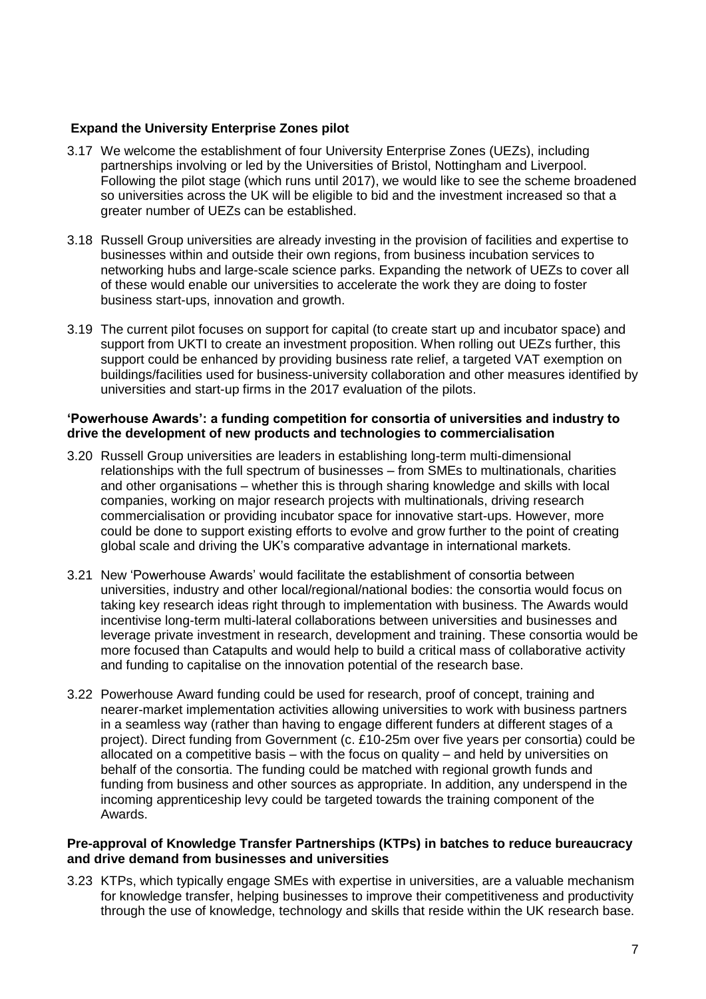## **Expand the University Enterprise Zones pilot**

- 3.17 We welcome the establishment of four University Enterprise Zones (UEZs), including partnerships involving or led by the Universities of Bristol, Nottingham and Liverpool. Following the pilot stage (which runs until 2017), we would like to see the scheme broadened so universities across the UK will be eligible to bid and the investment increased so that a greater number of UEZs can be established.
- 3.18 Russell Group universities are already investing in the provision of facilities and expertise to businesses within and outside their own regions, from business incubation services to networking hubs and large-scale science parks. Expanding the network of UEZs to cover all of these would enable our universities to accelerate the work they are doing to foster business start-ups, innovation and growth.
- 3.19 The current pilot focuses on support for capital (to create start up and incubator space) and support from UKTI to create an investment proposition. When rolling out UEZs further, this support could be enhanced by providing business rate relief, a targeted VAT exemption on buildings/facilities used for business-university collaboration and other measures identified by universities and start-up firms in the 2017 evaluation of the pilots.

#### **'Powerhouse Awards': a funding competition for consortia of universities and industry to drive the development of new products and technologies to commercialisation**

- 3.20 Russell Group universities are leaders in establishing long-term multi-dimensional relationships with the full spectrum of businesses – from SMEs to multinationals, charities and other organisations – whether this is through sharing knowledge and skills with local companies, working on major research projects with multinationals, driving research commercialisation or providing incubator space for innovative start-ups. However, more could be done to support existing efforts to evolve and grow further to the point of creating global scale and driving the UK's comparative advantage in international markets.
- 3.21 New 'Powerhouse Awards' would facilitate the establishment of consortia between universities, industry and other local/regional/national bodies: the consortia would focus on taking key research ideas right through to implementation with business. The Awards would incentivise long-term multi-lateral collaborations between universities and businesses and leverage private investment in research, development and training. These consortia would be more focused than Catapults and would help to build a critical mass of collaborative activity and funding to capitalise on the innovation potential of the research base.
- 3.22 Powerhouse Award funding could be used for research, proof of concept, training and nearer-market implementation activities allowing universities to work with business partners in a seamless way (rather than having to engage different funders at different stages of a project). Direct funding from Government (c. £10-25m over five years per consortia) could be allocated on a competitive basis – with the focus on quality – and held by universities on behalf of the consortia. The funding could be matched with regional growth funds and funding from business and other sources as appropriate. In addition, any underspend in the incoming apprenticeship levy could be targeted towards the training component of the Awards.

#### **Pre-approval of Knowledge Transfer Partnerships (KTPs) in batches to reduce bureaucracy and drive demand from businesses and universities**

3.23 KTPs, which typically engage SMEs with expertise in universities, are a valuable mechanism for knowledge transfer, helping businesses to improve their competitiveness and productivity through the use of knowledge, technology and skills that reside within the UK research base.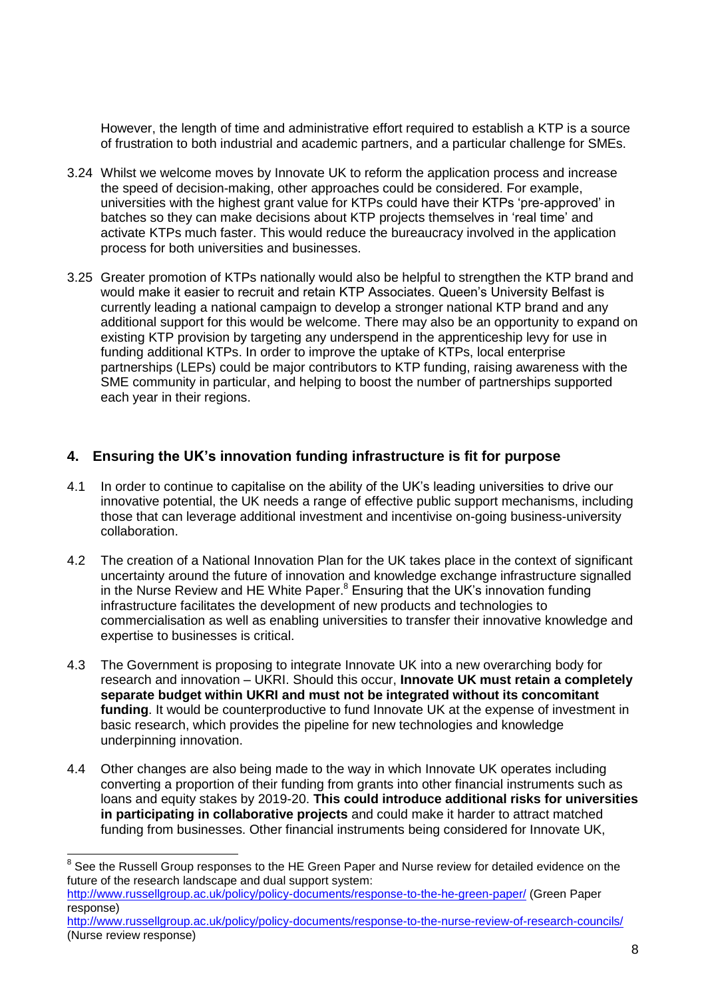However, the length of time and administrative effort required to establish a KTP is a source of frustration to both industrial and academic partners, and a particular challenge for SMEs.

- 3.24 Whilst we welcome moves by Innovate UK to reform the application process and increase the speed of decision-making, other approaches could be considered. For example, universities with the highest grant value for KTPs could have their KTPs 'pre-approved' in batches so they can make decisions about KTP projects themselves in 'real time' and activate KTPs much faster. This would reduce the bureaucracy involved in the application process for both universities and businesses.
- 3.25 Greater promotion of KTPs nationally would also be helpful to strengthen the KTP brand and would make it easier to recruit and retain KTP Associates. Queen's University Belfast is currently leading a national campaign to develop a stronger national KTP brand and any additional support for this would be welcome. There may also be an opportunity to expand on existing KTP provision by targeting any underspend in the apprenticeship levy for use in funding additional KTPs. In order to improve the uptake of KTPs, local enterprise partnerships (LEPs) could be major contributors to KTP funding, raising awareness with the SME community in particular, and helping to boost the number of partnerships supported each year in their regions.

# **4. Ensuring the UK's innovation funding infrastructure is fit for purpose**

- 4.1 In order to continue to capitalise on the ability of the UK's leading universities to drive our innovative potential, the UK needs a range of effective public support mechanisms, including those that can leverage additional investment and incentivise on-going business-university collaboration.
- 4.2 The creation of a National Innovation Plan for the UK takes place in the context of significant uncertainty around the future of innovation and knowledge exchange infrastructure signalled in the Nurse Review and HE White Paper.<sup>8</sup> Ensuring that the UK's innovation funding infrastructure facilitates the development of new products and technologies to commercialisation as well as enabling universities to transfer their innovative knowledge and expertise to businesses is critical.
- 4.3 The Government is proposing to integrate Innovate UK into a new overarching body for research and innovation – UKRI. Should this occur, **Innovate UK must retain a completely separate budget within UKRI and must not be integrated without its concomitant funding**. It would be counterproductive to fund Innovate UK at the expense of investment in basic research, which provides the pipeline for new technologies and knowledge underpinning innovation.
- 4.4 Other changes are also being made to the way in which Innovate UK operates including converting a proportion of their funding from grants into other financial instruments such as loans and equity stakes by 2019-20. **This could introduce additional risks for universities in participating in collaborative projects** and could make it harder to attract matched funding from businesses. Other financial instruments being considered for Innovate UK,

 8 See the Russell Group responses to the HE Green Paper and Nurse review for detailed evidence on the future of the research landscape and dual support system:

<http://www.russellgroup.ac.uk/policy/policy-documents/response-to-the-he-green-paper/> (Green Paper response)

<http://www.russellgroup.ac.uk/policy/policy-documents/response-to-the-nurse-review-of-research-councils/> (Nurse review response)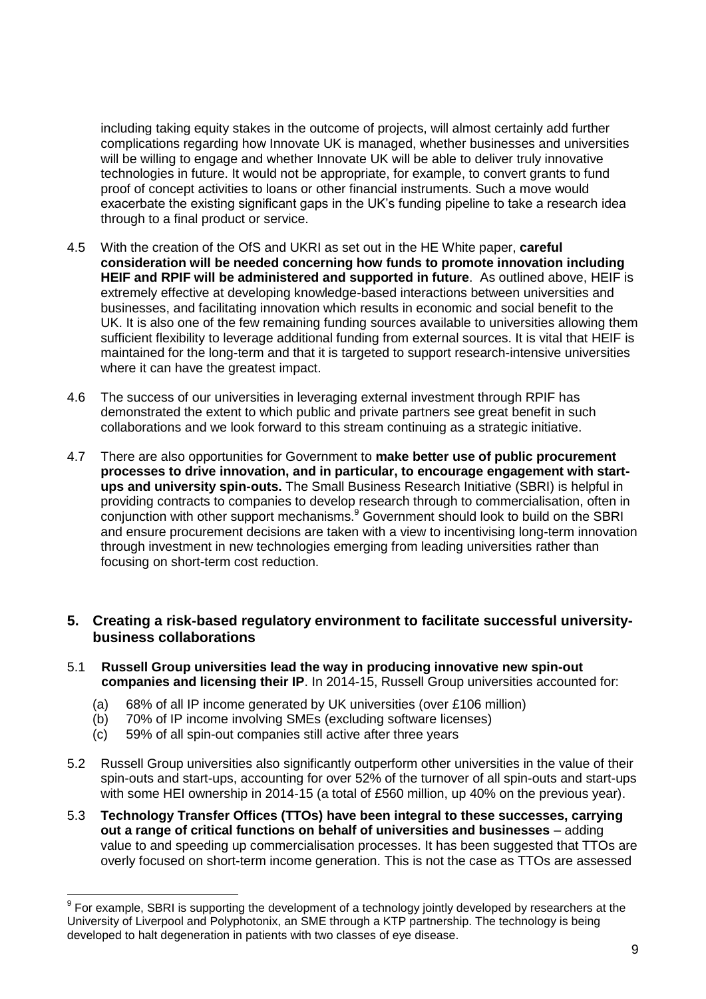including taking equity stakes in the outcome of projects, will almost certainly add further complications regarding how Innovate UK is managed, whether businesses and universities will be willing to engage and whether Innovate UK will be able to deliver truly innovative technologies in future. It would not be appropriate, for example, to convert grants to fund proof of concept activities to loans or other financial instruments. Such a move would exacerbate the existing significant gaps in the UK's funding pipeline to take a research idea through to a final product or service.

- 4.5 With the creation of the OfS and UKRI as set out in the HE White paper, **careful consideration will be needed concerning how funds to promote innovation including HEIF and RPIF will be administered and supported in future**. As outlined above, HEIF is extremely effective at developing knowledge-based interactions between universities and businesses, and facilitating innovation which results in economic and social benefit to the UK. It is also one of the few remaining funding sources available to universities allowing them sufficient flexibility to leverage additional funding from external sources. It is vital that HEIF is maintained for the long-term and that it is targeted to support research-intensive universities where it can have the greatest impact.
- 4.6 The success of our universities in leveraging external investment through RPIF has demonstrated the extent to which public and private partners see great benefit in such collaborations and we look forward to this stream continuing as a strategic initiative.
- 4.7 There are also opportunities for Government to **make better use of public procurement processes to drive innovation, and in particular, to encourage engagement with startups and university spin-outs.** The Small Business Research Initiative (SBRI) is helpful in providing contracts to companies to develop research through to commercialisation, often in conjunction with other support mechanisms.<sup>9</sup> Government should look to build on the SBRI and ensure procurement decisions are taken with a view to incentivising long-term innovation through investment in new technologies emerging from leading universities rather than focusing on short-term cost reduction.

# **5. Creating a risk-based regulatory environment to facilitate successful universitybusiness collaborations**

- 5.1 **Russell Group universities lead the way in producing innovative new spin-out companies and licensing their IP**. In 2014-15, Russell Group universities accounted for:
	- (a) 68% of all IP income generated by UK universities (over £106 million)
	- (b) 70% of IP income involving SMEs (excluding software licenses)
	- (c) 59% of all spin-out companies still active after three years
- 5.2 Russell Group universities also significantly outperform other universities in the value of their spin-outs and start-ups, accounting for over 52% of the turnover of all spin-outs and start-ups with some HEI ownership in 2014-15 (a total of £560 million, up 40% on the previous year).
- 5.3 **Technology Transfer Offices (TTOs) have been integral to these successes, carrying out a range of critical functions on behalf of universities and businesses** – adding value to and speeding up commercialisation processes. It has been suggested that TTOs are overly focused on short-term income generation. This is not the case as TTOs are assessed

 9 For example, SBRI is supporting the development of a technology jointly developed by researchers at the University of Liverpool and Polyphotonix, an SME through a KTP partnership. The technology is being developed to halt degeneration in patients with two classes of eye disease.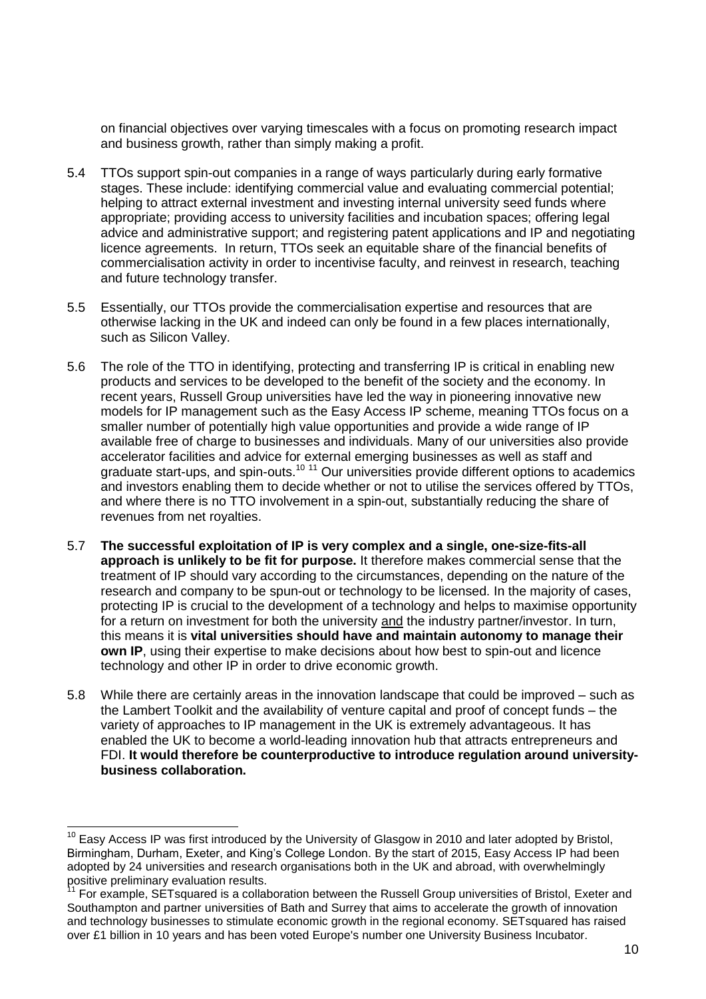on financial objectives over varying timescales with a focus on promoting research impact and business growth, rather than simply making a profit.

- 5.4 TTOs support spin-out companies in a range of ways particularly during early formative stages. These include: identifying commercial value and evaluating commercial potential; helping to attract external investment and investing internal university seed funds where appropriate; providing access to university facilities and incubation spaces; offering legal advice and administrative support; and registering patent applications and IP and negotiating licence agreements. In return, TTOs seek an equitable share of the financial benefits of commercialisation activity in order to incentivise faculty, and reinvest in research, teaching and future technology transfer.
- 5.5 Essentially, our TTOs provide the commercialisation expertise and resources that are otherwise lacking in the UK and indeed can only be found in a few places internationally, such as Silicon Valley.
- 5.6 The role of the TTO in identifying, protecting and transferring IP is critical in enabling new products and services to be developed to the benefit of the society and the economy. In recent years, Russell Group universities have led the way in pioneering innovative new models for IP management such as the Easy Access IP scheme, meaning TTOs focus on a smaller number of potentially high value opportunities and provide a wide range of IP available free of charge to businesses and individuals. Many of our universities also provide accelerator facilities and advice for external emerging businesses as well as staff and graduate start-ups, and spin-outs.<sup>10 11</sup> Our universities provide different options to academics and investors enabling them to decide whether or not to utilise the services offered by TTOs, and where there is no TTO involvement in a spin-out, substantially reducing the share of revenues from net royalties.
- 5.7 **The successful exploitation of IP is very complex and a single, one-size-fits-all approach is unlikely to be fit for purpose.** It therefore makes commercial sense that the treatment of IP should vary according to the circumstances, depending on the nature of the research and company to be spun-out or technology to be licensed. In the majority of cases, protecting IP is crucial to the development of a technology and helps to maximise opportunity for a return on investment for both the university and the industry partner/investor. In turn, this means it is **vital universities should have and maintain autonomy to manage their own IP**, using their expertise to make decisions about how best to spin-out and licence technology and other IP in order to drive economic growth.
- 5.8 While there are certainly areas in the innovation landscape that could be improved such as the Lambert Toolkit and the availability of venture capital and proof of concept funds – the variety of approaches to IP management in the UK is extremely advantageous. It has enabled the UK to become a world-leading innovation hub that attracts entrepreneurs and FDI. **It would therefore be counterproductive to introduce regulation around universitybusiness collaboration.**

-

 $10$  Easy Access IP was first introduced by the University of Glasgow in 2010 and later adopted by Bristol, Birmingham, Durham, Exeter, and King's College London. By the start of 2015, Easy Access IP had been adopted by 24 universities and research organisations both in the UK and abroad, with overwhelmingly positive preliminary evaluation results.

<sup>11</sup> For example, SETsquared is a collaboration between the Russell Group universities of Bristol, Exeter and Southampton and partner universities of Bath and Surrey that aims to accelerate the growth of innovation and technology businesses to stimulate economic growth in the regional economy. SETsquared has raised over £1 billion in 10 years and has been voted Europe's number one University Business Incubator.